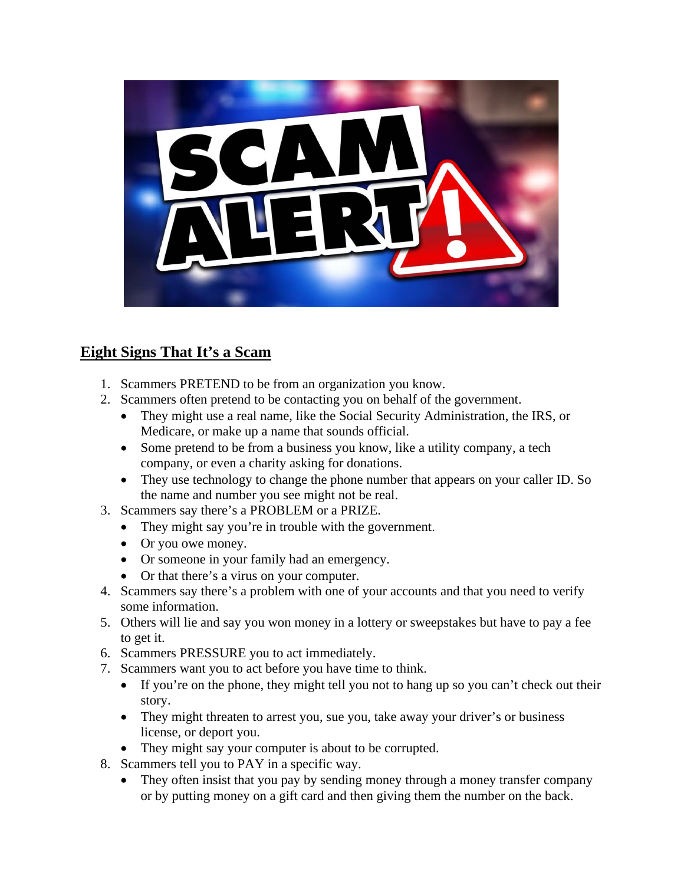

## **Eight Signs That It's a Scam**

- 1. Scammers PRETEND to be from an organization you know.
- 2. Scammers often pretend to be contacting you on behalf of the government.
	- They might use a real name, like the Social Security Administration, the IRS, or Medicare, or make up a name that sounds official.
	- Some pretend to be from a business you know, like a utility company, a tech company, or even a charity asking for donations.
	- They use technology to change the phone number that appears on your caller ID. So the name and number you see might not be real.
- 3. Scammers say there's a PROBLEM or a PRIZE.
	- They might say you're in trouble with the government.
	- Or you owe money.
	- Or someone in your family had an emergency.
	- Or that there's a virus on your computer.
- 4. Scammers say there's a problem with one of your accounts and that you need to verify some information.
- 5. Others will lie and say you won money in a lottery or sweepstakes but have to pay a fee to get it.
- 6. Scammers PRESSURE you to act immediately.
- 7. Scammers want you to act before you have time to think.
	- If you're on the phone, they might tell you not to hang up so you can't check out their story.
	- They might threaten to arrest you, sue you, take away your driver's or business license, or deport you.
	- They might say your computer is about to be corrupted.
- 8. Scammers tell you to PAY in a specific way.
	- They often insist that you pay by sending money through a money transfer company or by putting money on a gift card and then giving them the number on the back.